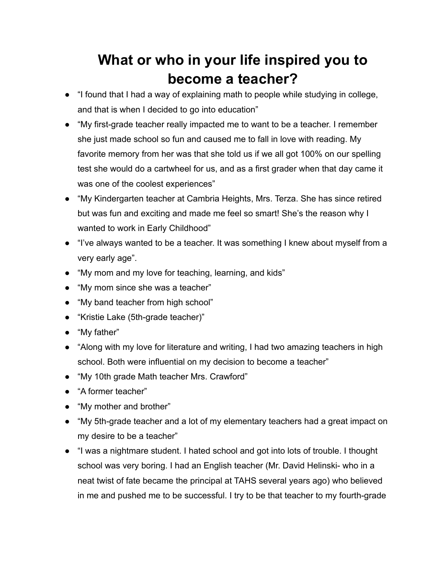## **What or who in your life inspired you to become a teacher?**

- "I found that I had a way of explaining math to people while studying in college, and that is when I decided to go into education"
- "My first-grade teacher really impacted me to want to be a teacher. I remember she just made school so fun and caused me to fall in love with reading. My favorite memory from her was that she told us if we all got 100% on our spelling test she would do a cartwheel for us, and as a first grader when that day came it was one of the coolest experiences"
- "My Kindergarten teacher at Cambria Heights, Mrs. Terza. She has since retired but was fun and exciting and made me feel so smart! She's the reason why I wanted to work in Early Childhood"
- "I've always wanted to be a teacher. It was something I knew about myself from a very early age".
- "My mom and my love for teaching, learning, and kids"
- "My mom since she was a teacher"
- "My band teacher from high school"
- "Kristie Lake (5th-grade teacher)"
- "My father"
- "Along with my love for literature and writing, I had two amazing teachers in high school. Both were influential on my decision to become a teacher"
- "My 10th grade Math teacher Mrs. Crawford"
- "A former teacher"
- "My mother and brother"
- "My 5th-grade teacher and a lot of my elementary teachers had a great impact on my desire to be a teacher"
- "I was a nightmare student. I hated school and got into lots of trouble. I thought school was very boring. I had an English teacher (Mr. David Helinski- who in a neat twist of fate became the principal at TAHS several years ago) who believed in me and pushed me to be successful. I try to be that teacher to my fourth-grade